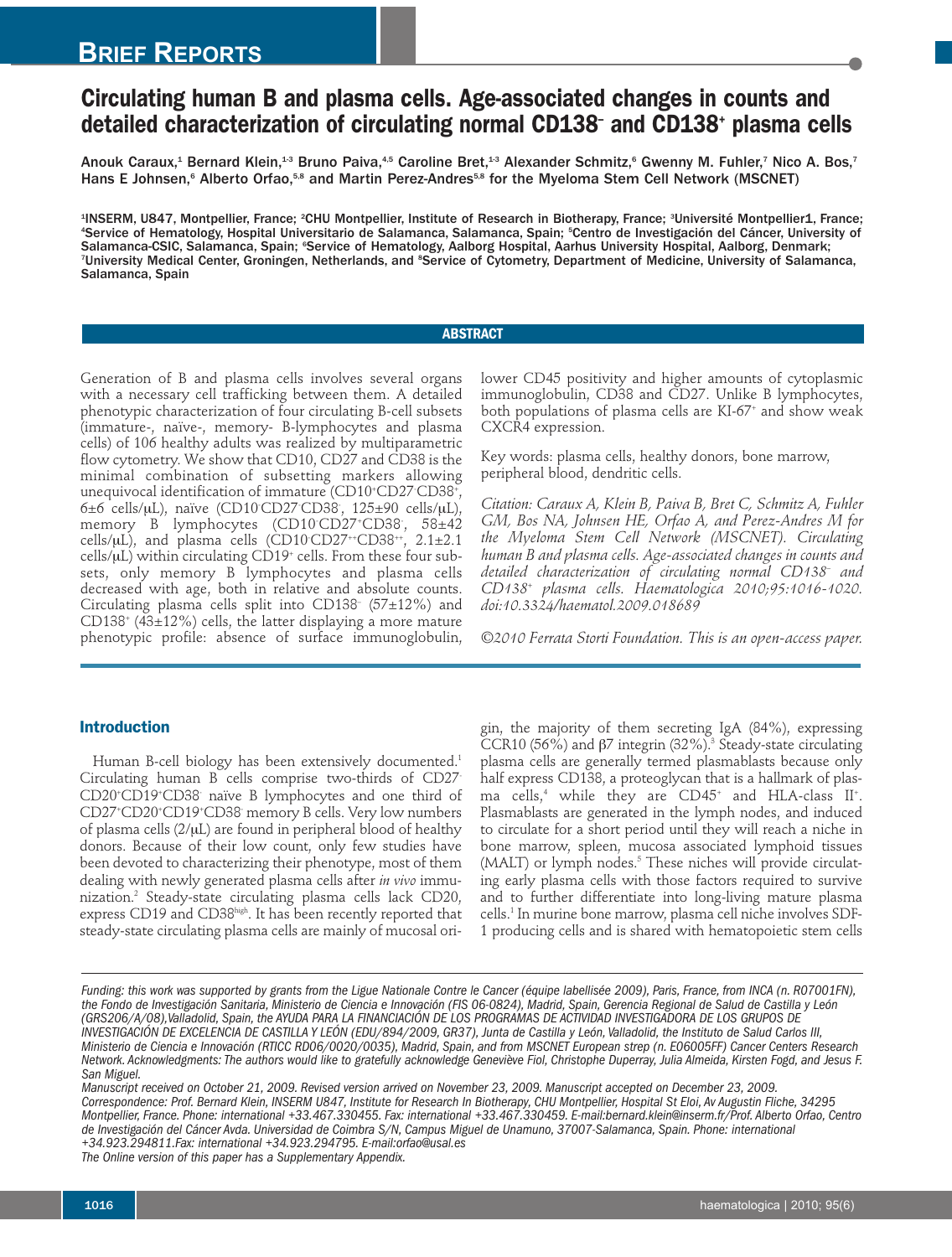## **BRIEF REPORTS**

# **Circulating human B and plasma cells. Age-associated changes in counts and detailed characterization of circulating normal CD138– and CD138+ plasma cells**

Anouk Caraux, $^4$  Bernard Klein, $^{13}$  Bruno Paiva, $^{45}$  Caroline Bret, $^{13}$  Alexander Schmitz, $^6$  Gwenny M. Fuhler, $^7$  Nico A. Bos, $^7$ Hans E Johnsen,<sup>6</sup> Alberto Orfao,<sup>5,8</sup> and Martin Perez-Andres<sup>5,8</sup> for the Myeloma Stem Cell Network (MSCNET)

'INSERM, U847, Montpellier, France; <sup>2</sup>CHU Montpellier, Institute of Research in Biotherapy, France; <sup>з</sup>Université Montpellier1, France; 4 Service of Hematology, Hospital Universitario de Salamanca, Salamanca, Spain; <sup>5</sup> Centro de Investigación del Cáncer, University of Salamanca-CSIC, Salamanca, Spain; °Service of Hematology, Aalborg Hospital, Aarhus University Hospital, Aalborg, Denmark; <sup>7</sup>University Medical Center, Groningen, Netherlands, and <sup>s</sup>Service of Cytometry, Department of Medicine, University of Salamanca, Salamanca, Spain

## **ABSTRACT**

Generation of B and plasma cells involves several organs with a necessary cell trafficking between them. A detailed phenotypic characterization of four circulating B-cell subsets (immature-, naïve-, memory- B-lymphocytes and plasma cells) of 106 healthy adults was realized by multiparametric flow cytometry. We show that CD10, CD27 and CD38 is the minimal combination of subsetting markers allowing unequivocal identification of immature (CD10+ CD27- CD38+ , 6±6 cells/µL), naïve (CD10<sup>.</sup>CD27<sup>.</sup>CD38<sup>.</sup>, 125±90 cells/µL), memory B lymphocytes (CD10- CD27+ CD38- , 58±42 cells/µL), and plasma cells (CD10<sup>-</sup>CD27<sup>++</sup>CD38<sup>++</sup>, 2.1±2.1 cells/µL) within circulating CD19<sup>+</sup> cells. From these four subsets, only memory B lymphocytes and plasma cells decreased with age, both in relative and absolute counts. Circulating plasma cells split into CD138– (57±12%) and CD138<sup>+</sup> (43 $\pm$ 12%) cells, the latter displaying a more mature phenotypic profile: absence of surface immunoglobulin,

**Introduction**

Human B-cell biology has been extensively documented. 1 Circulating human B cells comprise two-thirds of CD27- CD20+ CD19+ CD38- naïve B lymphocytes and one third of CD27+ CD20+ CD19+ CD38- memory B cells. Very low numbers of plasma cells  $(2/\mu L)$  are found in peripheral blood of healthy donors. Because of their low count, only few studies have been devoted to characterizing their phenotype, most of them dealing with newly generated plasma cells after *in vivo* immunization. <sup>2</sup> Steady-state circulating plasma cells lack CD20, express CD19 and CD38high . It has been recently reported that steady-state circulating plasma cells are mainly of mucosal orilower CD45 positivity and higher amounts of cytoplasmic immunoglobulin, CD38 and CD27. Unlike B lymphocytes, both populations of plasma cells are KI-67+ and show weak CXCR4 expression.

Key words: plasma cells, healthy donors, bone marrow, peripheral blood, dendritic cells.

*Citation: Caraux A, Klein B, Paiva B, Bret C, Schmitz A, Fuhler GM, Bos NA, Johnsen HE, Orfao A, and Perez-Andres M for the Myeloma Stem Cell Network (MSCNET). Circulating human B and plasma cells. Age-associated changes in counts and detailed characterization of circulating normal CD138– and CD138+ plasma cells. Haematologica 2010;95:1016-1020. doi:10.3324/haematol.2009.018689*

*©2010 Ferrata Storti Foundation. This is an open-access paper.*

gin, the majority of them secreting IgA (84%), expressing CCR10 (56%) and β7 integrin (32%). <sup>3</sup> Steady-state circulating plasma cells are generally termed plasmablasts because only half express CD138, a proteoglycan that is a hallmark of plasma cells, <sup>4</sup> while they are CD45+ and HLA-class II + . Plasmablasts are generated in the lymph nodes, and induced to circulate for a short period until they will reach a niche in bone marrow, spleen, mucosa associated lymphoid tissues (MALT) or lymph nodes. <sup>5</sup> These niches will provide circulating early plasma cells with those factors required to survive and to further differentiate into long-living mature plasma cells. <sup>1</sup> In murine bone marrow, plasma cell niche involves SDF-1 producing cells and is shared with hematopoietic stem cells

Manuscript received on October 21, 2009. Revised version arrived on November 23, 2009. Manuscript accepted on December 23, 2009. Correspondence: Prof. Bernard Klein, INSERM U847, Institute for Research In Biotherapy, CHU Montpellier, Hospital St Eloi, Av Augustin Fliche, 34295 Montpellier, France. Phone: international +33.467.330455. Fax: international +33.467.330459. E-mail:bernard.klein@inserm.fr/Prof. Alberto Orfao, Centro de Investigación del Cáncer Avda. Universidad de Coimbra S/N, Campus Miguel de Unamuno, 37007-Salamanca, Spain. Phone: international *+34.923.294811.Fax: international +34.923.294795. E-mail:orfao@usal.es*

*The Online version of this paper has a Supplementary Appendix.*

Funding: this work was supported by grants from the Ligue Nationale Contre le Cancer (équipe labellisée 2009), Paris, France, from INCA (n. R07001FN), the Fondo de Investigación Sanitaria, Ministerio de Ciencia e Innovación (FIS 06-0824), Madrid, Spain, Gerencia Regional de Salud de Castilla y León (GRS206/A/08),Valladolid, Spain, the AYUDA PARA LA FINANCIACIÓN DE LOS PROGRAMAS DE ACTIVIDAD INVESTIGADORA DE LOS GRUPOS DE INVESTIGACIÓN DE EXCELENCIA DE CASTILLA Y LEÓN (EDU/894/2009, GR37), Junta de Castilla y León, Valladolid, the Instituto de Salud Carlos III, Ministerio de Ciencia e Innovación (RTICC RD06/0020/0035), Madrid, Spain, and from MSCNET European strep (n. E06005FF) Cancer Centers Research Network. Acknowledgments: The authors would like to gratefully acknowledge Geneviève Fiol, Christophe Duperray, Julia Almeida, Kirsten Fogd, and Jesus F. *San Miguel.*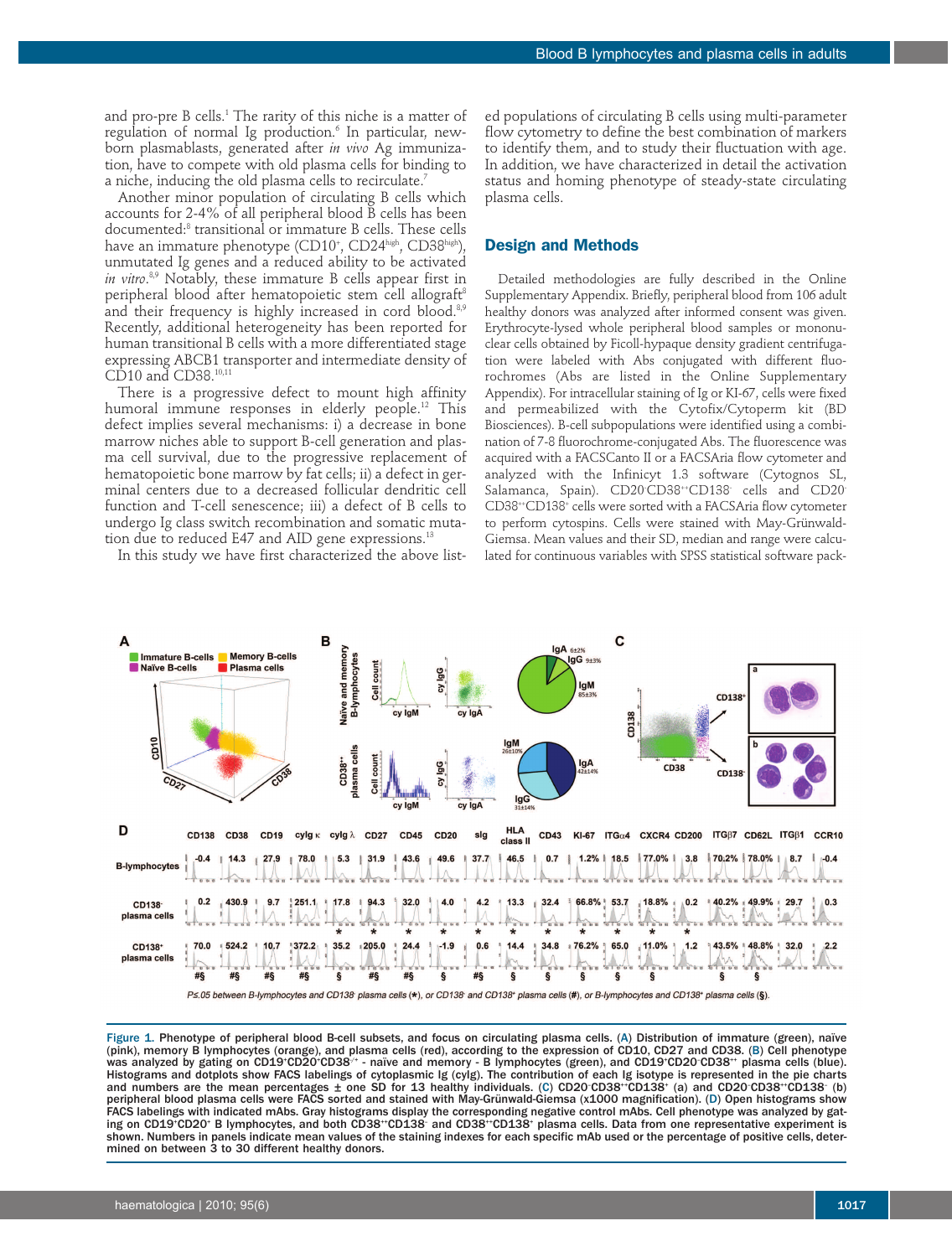and pro-pre B cells. <sup>1</sup> The rarity of this niche is a matter of regulation of normal Ig production. <sup>6</sup> In particular, newborn plasmablasts, generated after *in vivo* Ag immunization, have to compete with old plasma cells for binding to a niche, inducing the old plasma cells to recirculate. 7

Another minor population of circulating B cells which accounts for 2-4% of all peripheral blood B cells has been documented: <sup>8</sup> transitional or immature B cells. These cells have an immature phenotype (CD10<sup>+</sup>, CD24<sup>high</sup>, CD38<sup>high</sup>), unmutated Ig genes and a reduced ability to be activated *in vitro*. 8,9 Notably, these immature B cells appear first in peripheral blood after hematopoietic stem cell allograft 8 and their frequency is highly increased in cord blood.<sup>8,9</sup> Recently, additional heterogeneity has been reported for human transitional B cells with a more differentiated stage expressing ABCB1 transporter and intermediate density of CD10 and CD38.<sup>10,11</sup>

There is a progressive defect to mount high affinity humoral immune responses in elderly people. <sup>12</sup> This defect implies several mechanisms: i) a decrease in bone marrow niches able to support B-cell generation and plasma cell survival, due to the progressive replacement of hematopoietic bone marrow by fat cells; ii) a defect in germinal centers due to a decreased follicular dendritic cell function and T-cell senescence; iii) a defect of B cells to undergo Ig class switch recombination and somatic mutation due to reduced E47 and AID gene expressions. 13

In this study we have first characterized the above list-

ed populations of circulating B cells using multi-parameter flow cytometry to define the best combination of markers to identify them, and to study their fluctuation with age. In addition, we have characterized in detail the activation status and homing phenotype of steady-state circulating plasma cells.

## **Design and Methods**

Detailed methodologies are fully described in the Online Supplementary Appendix. Briefly, peripheral blood from 106 adult healthy donors was analyzed after informed consent was given. Erythrocyte-lysed whole peripheral blood samples or mononuclear cells obtained by Ficoll-hypaque density gradient centrifugation were labeled with Abs conjugated with different fluorochromes (Abs are listed in the Online Supplementary Appendix). For intracellular staining of Ig or KI-67, cells were fixed and permeabilized with the Cytofix/Cytoperm kit (BD Biosciences). B-cell subpopulations were identified using a combination of 7-8 fluorochrome-conjugated Abs. The fluorescence was acquired with a FACSCanto II or a FACSAria flow cytometer and analyzed with the Infinicyt 1.3 software (Cytognos SL, Salamanca, Spain). CD20<sup>.</sup>CD38<sup>++</sup>CD138 cells and CD20<sup>.</sup> CD38++ CD138+ cells were sorted with a FACSAria flow cytometer to perform cytospins. Cells were stained with May-Grünwald-Giemsa. Mean values and their SD, median and range were calculated for continuous variables with SPSS statistical software pack-



Figure 1. Phenotype of peripheral blood B-cell subsets, and focus on circulating plasma cells. (A) Distribution of immature (green), naïve (pink), memory B lymphocytes (orange), and plasma cells (red), according to the expression of CD10, CD27 and CD38. (B) Cell phenotype was analyzed by gating on CD19\*CD20\*CD38/\* - naïve and memory - B lymphocytes (green), and CD19\*CD20<sup>-</sup>CD38\*\* plasma cells (blue). Histograms and dotplots show FACS labelings of cytoplasmic Ig (cyIg). The contribution of each Ig isotype is represented in the pie charts and numbers are the mean percentages  $\pm$  one SD for 13 healthy individuals. (C) CD20 CD38\*\*CD138\* (a) and CD20 CD38\*\*CD138<sup>-</sup> (b) peripheral blood plasma cells were FACS sorted and stained with May-Grünwald-Giemsa (x1000 magnification). (D) Open histograms show FACS labelings with indicated mAbs. Gray histograms display the corresponding negative control mAbs. Cell phenotype was analyzed by gating on CD19<sup>-</sup>CD20<sup>+</sup> B lymphocytes, and both CD38<sup>++</sup>CD138<sup>-</sup> and CD38<sup>++</sup>CD138<sup>+</sup> plasma cells. Data from one representative experiment is shown. Numbers in panels indicate mean values of the staining indexes for each specific mAb used or the percentage of positive cells, determined on between 3 to 30 different healthy donors.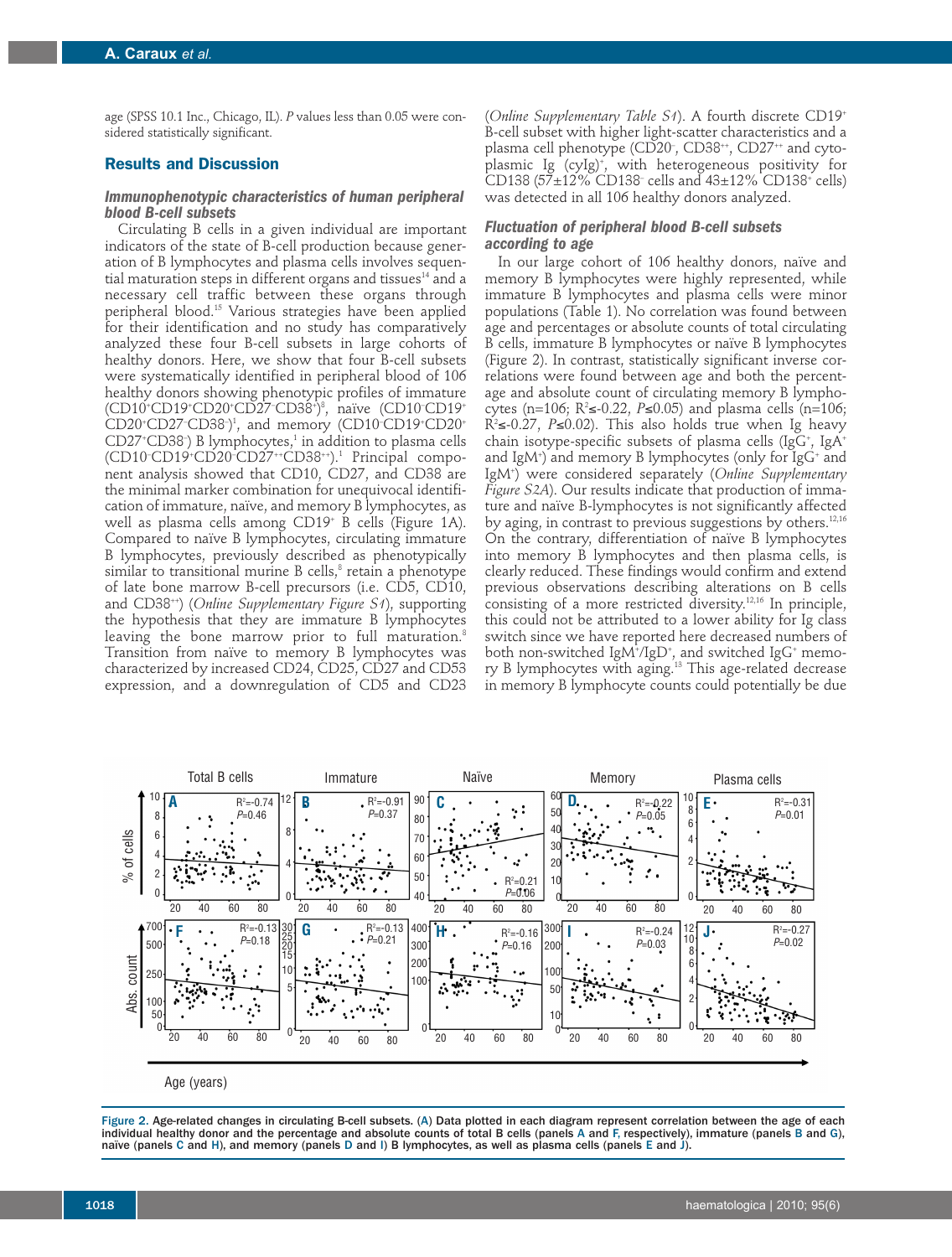age (SPSS 10.1 Inc., Chicago, IL). *P* values less than 0.05 were considered statistically significant.

## **Results and Discussion**

#### *Immunophenotypic characteristics of human peripheral blood B-cell subsets*

Circulating B cells in a given individual are important indicators of the state of B-cell production because generation of B lymphocytes and plasma cells involves sequential maturation steps in different organs and tissues<sup>14</sup> and a necessary cell traffic between these organs through peripheral blood. <sup>15</sup> Various strategies have been applied for their identification and no study has comparatively analyzed these four B-cell subsets in large cohorts of healthy donors. Here, we show that four B-cell subsets were systematically identified in peripheral blood of 106 healthy donors showing phenotypic profiles of immature (CD10+ CD19+ CD20+ CD27– CD38+ ) 8 , naïve (CD10– CD19+ CD20<sup>+</sup>CD27<sup>-</sup>CD38<sup>-</sup>)<sup>1</sup>, and memory (CD10<sup>-</sup>CD19<sup>+</sup>CD20<sup>+</sup> CD27+ CD38– ) B lymphocytes, <sup>1</sup> in addition to plasma cells (CD10<sup>-</sup>CD19<sup>+</sup>CD20<sup>-</sup>CD27<sup>++</sup>CD38<sup>++</sup>).<sup>1</sup> Principal component analysis showed that CD10, CD27, and CD38 are the minimal marker combination for unequivocal identification of immature, naïve, and memory B lymphocytes, as well as plasma cells among CD19+ B cells (Figure 1A). Compared to naïve B lymphocytes, circulating immature B lymphocytes, previously described as phenotypically similar to transitional murine B cells, <sup>8</sup> retain a phenotype of late bone marrow B-cell precursors (i.e. CD5, CD10, and CD38++ ) (*Online Supplementary Figure S1*), supporting the hypothesis that they are immature B lymphocytes leaving the bone marrow prior to full maturation. 8 Transition from naïve to memory B lymphocytes was characterized by increased CD24, CD25, CD27 and CD53 expression, and a downregulation of CD5 and CD23

(*Online Supplementary Table S1*). A fourth discrete CD19+ B-cell subset with higher light-scatter characteristics and a plasma cell phenotype (CD20<sup>-</sup>, CD38<sup>++</sup>, CD27<sup>++</sup> and cytoplasmic Ig (cyIg) + , with heterogeneous positivity for CD138 ( $57\pm12\%$  CD138<sup>-</sup> cells and  $43\pm12\%$  CD138<sup>+</sup> cells) was detected in all 106 healthy donors analyzed.

## *Fluctuation of peripheral blood B-cell subsets according to age*

In our large cohort of 106 healthy donors, naïve and memory B lymphocytes were highly represented, while immature B lymphocytes and plasma cells were minor populations (Table 1). No correlation was found between age and percentages or absolute counts of total circulating B cells, immature B lymphocytes or naïve B lymphocytes (Figure 2). In contrast, statistically significant inverse correlations were found between age and both the percentage and absolute count of circulating memory B lymphocytes (n=106; R<sup>2</sup>≤-0.22*, P*≤0.05) and plasma cells (n=106; R2 ≤-0.27, *P*≤0.02). This also holds true when Ig heavy chain isotype-specific subsets of plasma cells (IgG+, IgA+ and IgM+) and memory B lymphocytes (only for IgG+ and IgM+ ) were considered separately (*Online Supplementary Figure S2A*). Our results indicate that production of immature and naïve B-lymphocytes is not significantly affected by aging, in contrast to previous suggestions by others.<sup>12,16</sup> On the contrary, differentiation of naïve B lymphocytes into memory B lymphocytes and then plasma cells, is clearly reduced. These findings would confirm and extend previous observations describing alterations on B cells consisting of a more restricted diversity. $12,16$  In principle, this could not be attributed to a lower ability for Ig class switch since we have reported here decreased numbers of both non-switched IgM+/IgD+, and switched IgG+ memory B lymphocytes with aging. <sup>13</sup> This age-related decrease in memory B lymphocyte counts could potentially be due



Age (years)

Figure 2. Age-related changes in circulating B-cell subsets. (A) Data plotted in each diagram represent correlation between the age of each individual healthy donor and the percentage and absolute counts of total B cells (panels A and F, respectively), immature (panels B and G), naïve (panels C and H), and memory (panels D and I) B lymphocytes, as well as plasma cells (panels E and J).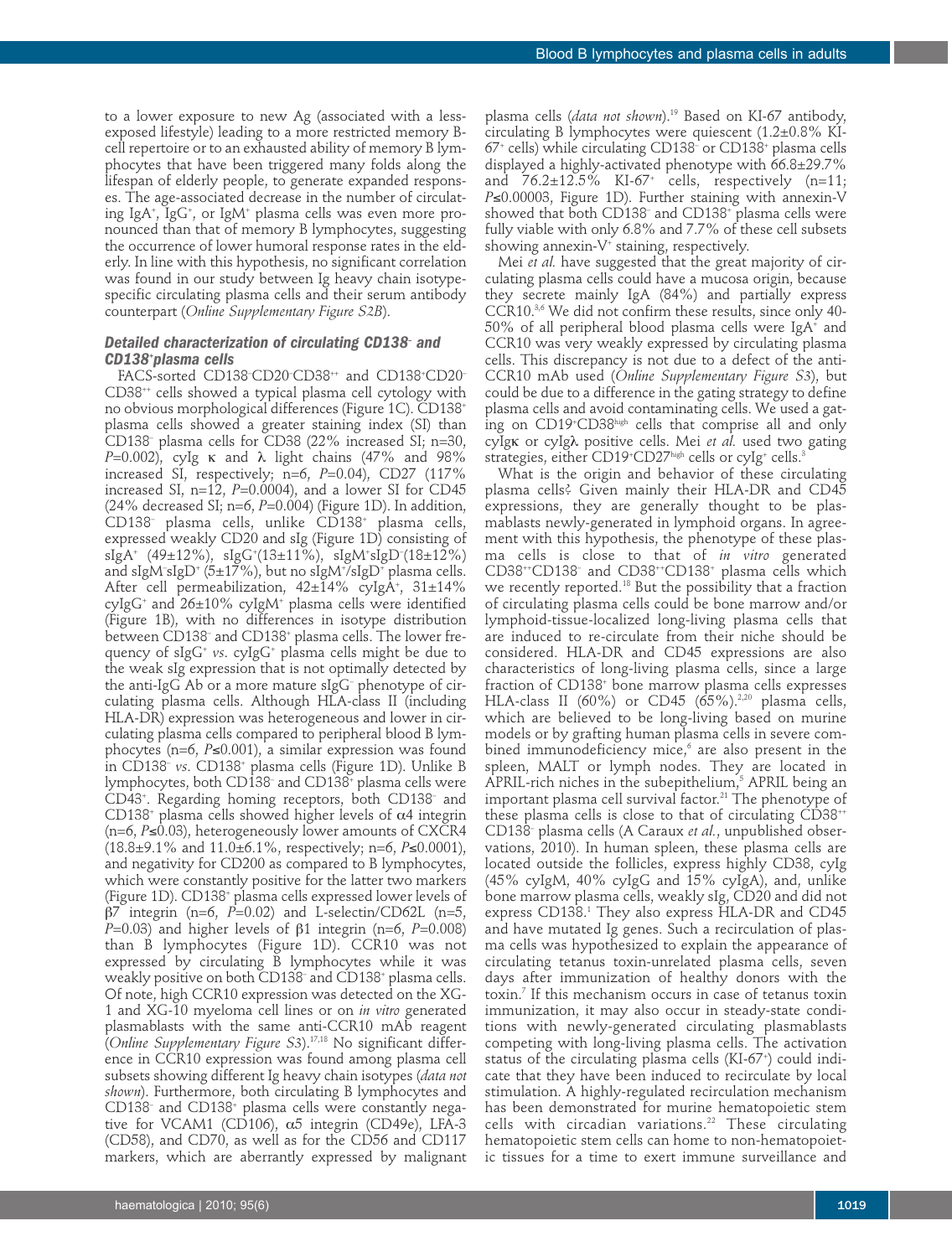to a lower exposure to new Ag (associated with a lessexposed lifestyle) leading to a more restricted memory Bcell repertoire or to an exhausted ability of memory B lymphocytes that have been triggered many folds along the lifespan of elderly people, to generate expanded responses. The age-associated decrease in the number of circulating IgA+ , IgG+ , or IgM+ plasma cells was even more pronounced than that of memory B lymphocytes, suggesting the occurrence of lower humoral response rates in the elderly. In line with this hypothesis, no significant correlation was found in our study between Ig heavy chain isotypespecific circulating plasma cells and their serum antibody counterpart (*Online Supplementary Figure S2B*).

## *Detailed characterization of circulating CD138– and CD138+ plasma cells*

FACS-sorted CD138<sup>-</sup>CD20<sup>-</sup>CD38<sup>++</sup> and CD138<sup>+</sup>CD20<sup>-</sup> CD38++ cells showed a typical plasma cell cytology with no obvious morphological differences (Figure 1C). CD138+ plasma cells showed a greater staining index (SI) than CD138– plasma cells for CD38 (22% increased SI; n=30, *P*=0.002), cyIg κ and λ light chains (47% and 98% increased SI, respectively; n=6, *P*=0.04), CD27 (117% increased SI,  $n=12$ ,  $P=0.0004$ ), and a lower SI for CD45  $(24\%$  decreased SI; n=6,  $P=0.004$ ) (Figure 1D). In addition, CD138– plasma cells, unlike CD138+ plasma cells, expressed weakly CD20 and sIg (Figure 1D) consisting of sIgA+ (49±12%), sIgG+ (13±11%), sIgM+ sIgD– (18±12%) and sIgM– sIgD+ (5±17%), but no sIgM+ /sIgD+ plasma cells. After cell permeabilization, 42±14% cyIgA+ , 31±14% cyIgG<sup>+</sup> and  $26\pm10\%$  cyIgM<sup>+</sup> plasma cells were identified (Figure 1B), with no differences in isotype distribution between CD138– and CD138+ plasma cells. The lower frequency of sIgG+ *vs*. cyIgG+ plasma cells might be due to the weak sIg expression that is not optimally detected by the anti-IgG Ab or a more mature sIgG– phenotype of circulating plasma cells. Although HLA-class II (including HLA-DR) expression was heterogeneous and lower in circulating plasma cells compared to peripheral blood B lymphocytes (n=6, *P*≤0.001), a similar expression was found in CD138– *vs*. CD138+ plasma cells (Figure 1D). Unlike B lymphocytes, both CD138– and CD138+ plasma cells were CD43+ . Regarding homing receptors, both CD138– and CD138<sup>+</sup> plasma cells showed higher levels of  $\alpha$ 4 integrin (n=6, *P*≤0.03), heterogeneously lower amounts of CXCR4 (18.8±9.1% and 11.0±6.1%, respectively; n=6, *P*≤0.0001), and negativity for CD200 as compared to B lymphocytes, which were constantly positive for the latter two markers (Figure 1D). CD138+ plasma cells expressed lower levels of β7 integrin (n=6, *P*=0.02) and L-selectin/CD62L (n=5, *P*=0.03) and higher levels of β1 integrin (n=6, *P*=0.008) than B lymphocytes (Figure 1D). CCR10 was not expressed by circulating B lymphocytes while it was weakly positive on both CD138– and CD138+ plasma cells. Of note, high CCR10 expression was detected on the XG-1 and XG-10 myeloma cell lines or on *in vitro* generated plasmablasts with the same anti-CCR10 mAb reagent (*Online Supplementary Figure S3*). 17,18 No significant difference in CCR10 expression was found among plasma cell subsets showing different Ig heavy chain isotypes (*data not shown*). Furthermore, both circulating B lymphocytes and CD138– and CD138+ plasma cells were constantly negative for VCAM1 (CD106),  $α5$  integrin (CD49e), LFA-3 (CD58), and CD70, as well as for the CD56 and CD117 markers, which are aberrantly expressed by malignant

plasma cells (*data not shown*). <sup>19</sup> Based on KI-67 antibody, circulating B lymphocytes were quiescent (1.2±0.8% KI-67+ cells) while circulating CD138– or CD138+ plasma cells displayed a highly-activated phenotype with 66.8±29.7% and  $76.2 \pm 12.5\%$  KI-67<sup>+</sup> cells, respectively (n=11; *P*≤0.00003, Figure 1D). Further staining with annexin-V showed that both CD138– and CD138+ plasma cells were fully viable with only 6.8% and 7.7% of these cell subsets showing annexin-V<sup>+</sup> staining, respectively.

Mei *et al.* have suggested that the great majority of circulating plasma cells could have a mucosa origin, because they secrete mainly IgA (84%) and partially express CCR10. 3,6 We did not confirm these results, since only 40- 50% of all peripheral blood plasma cells were IgA+ and CCR10 was very weakly expressed by circulating plasma cells. This discrepancy is not due to a defect of the anti-CCR10 mAb used (*Online Supplementary Figure S3*), but could be due to a difference in the gating strategy to define plasma cells and avoid contaminating cells. We used a gating on CD19+ CD38high cells that comprise all and only cyIgκ or cyIgλ positive cells. Mei *et al.* used two gating strategies, either CD19+ CD27high cells or cyIg+ cells. 3

What is the origin and behavior of these circulating plasma cells? Given mainly their HLA-DR and CD45 expressions, they are generally thought to be plasmablasts newly-generated in lymphoid organs. In agreement with this hypothesis, the phenotype of these plasma cells is close to that of *in vitro* generated CD38++ CD138– and CD38++ CD138+ plasma cells which we recently reported. <sup>18</sup> But the possibility that a fraction of circulating plasma cells could be bone marrow and/or lymphoid-tissue-localized long-living plasma cells that are induced to re-circulate from their niche should be considered. HLA-DR and CD45 expressions are also characteristics of long-living plasma cells, since a large fraction of CD138+ bone marrow plasma cells expresses HLA-class II (60%) or CD45 (65%).<sup>2,20</sup> plasma cells, which are believed to be long-living based on murine models or by grafting human plasma cells in severe combined immunodeficiency mice, <sup>6</sup> are also present in the spleen, MALT or lymph nodes. They are located in APRIL-rich niches in the subepithelium, <sup>5</sup> APRIL being an important plasma cell survival factor. <sup>21</sup> The phenotype of these plasma cells is close to that of circulating CD38<sup>++</sup> CD138– plasma cells (A Caraux *et al.*, unpublished observations, 2010). In human spleen, these plasma cells are located outside the follicles, express highly CD38, cyIg (45% cyIgM, 40% cyIgG and 15% cyIgA), and, unlike bone marrow plasma cells, weakly sIg, CD20 and did not express CD138. <sup>1</sup> They also express HLA-DR and CD45 and have mutated Ig genes. Such a recirculation of plasma cells was hypothesized to explain the appearance of circulating tetanus toxin-unrelated plasma cells, seven days after immunization of healthy donors with the toxin. <sup>7</sup> If this mechanism occurs in case of tetanus toxin immunization, it may also occur in steady-state conditions with newly-generated circulating plasmablasts competing with long-living plasma cells. The activation status of the circulating plasma cells (KI-67+ ) could indicate that they have been induced to recirculate by local stimulation. A highly-regulated recirculation mechanism has been demonstrated for murine hematopoietic stem cells with circadian variations. <sup>22</sup> These circulating hematopoietic stem cells can home to non-hematopoietic tissues for a time to exert immune surveillance and